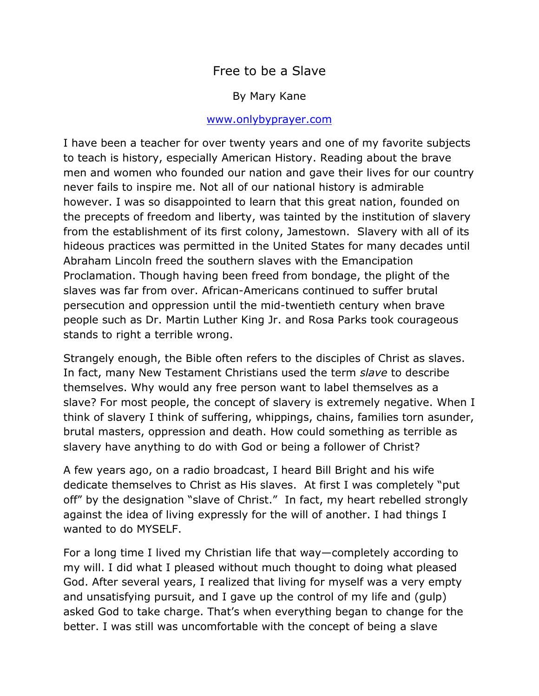# Free to be a Slave

#### By Mary Kane

#### [www.onlybyprayer.com](http://www.onlybyprayer.com/)

I have been a teacher for over twenty years and one of my favorite subjects to teach is history, especially American History. Reading about the brave men and women who founded our nation and gave their lives for our country never fails to inspire me. Not all of our national history is admirable however. I was so disappointed to learn that this great nation, founded on the precepts of freedom and liberty, was tainted by the institution of slavery from the establishment of its first colony, Jamestown. Slavery with all of its hideous practices was permitted in the United States for many decades until Abraham Lincoln freed the southern slaves with the Emancipation Proclamation. Though having been freed from bondage, the plight of the slaves was far from over. African-Americans continued to suffer brutal persecution and oppression until the mid-twentieth century when brave people such as Dr. Martin Luther King Jr. and Rosa Parks took courageous stands to right a terrible wrong.

Strangely enough, the Bible often refers to the disciples of Christ as slaves. In fact, many New Testament Christians used the term *slave* to describe themselves. Why would any free person want to label themselves as a slave? For most people, the concept of slavery is extremely negative. When I think of slavery I think of suffering, whippings, chains, families torn asunder, brutal masters, oppression and death. How could something as terrible as slavery have anything to do with God or being a follower of Christ?

A few years ago, on a radio broadcast, I heard Bill Bright and his wife dedicate themselves to Christ as His slaves. At first I was completely "put off" by the designation "slave of Christ." In fact, my heart rebelled strongly against the idea of living expressly for the will of another. I had things I wanted to do MYSELF.

For a long time I lived my Christian life that way—completely according to my will. I did what I pleased without much thought to doing what pleased God. After several years, I realized that living for myself was a very empty and unsatisfying pursuit, and I gave up the control of my life and (gulp) asked God to take charge. That's when everything began to change for the better. I was still was uncomfortable with the concept of being a slave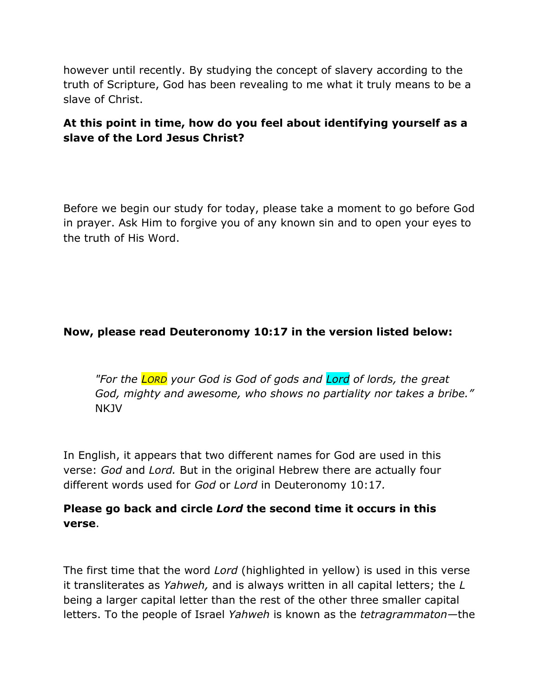however until recently. By studying the concept of slavery according to the truth of Scripture, God has been revealing to me what it truly means to be a slave of Christ.

## **At this point in time, how do you feel about identifying yourself as a slave of the Lord Jesus Christ?**

Before we begin our study for today, please take a moment to go before God in prayer. Ask Him to forgive you of any known sin and to open your eyes to the truth of His Word.

#### **Now, please read Deuteronomy 10:17 in the version listed below:**

*"For the LORD your God is God of gods and Lord of lords, the great God, mighty and awesome, who shows no partiality nor takes a bribe."* NKJV

In English, it appears that two different names for God are used in this verse: *God* and *Lord.* But in the original Hebrew there are actually four different words used for *God* or *Lord* in Deuteronomy 10:17*.* 

## **Please go back and circle** *Lord* **the second time it occurs in this verse**.

The first time that the word *Lord* (highlighted in yellow) is used in this verse it transliterates as *Yahweh,* and is always written in all capital letters; the *L* being a larger capital letter than the rest of the other three smaller capital letters. To the people of Israel *Yahweh* is known as the *tetragrammaton—*the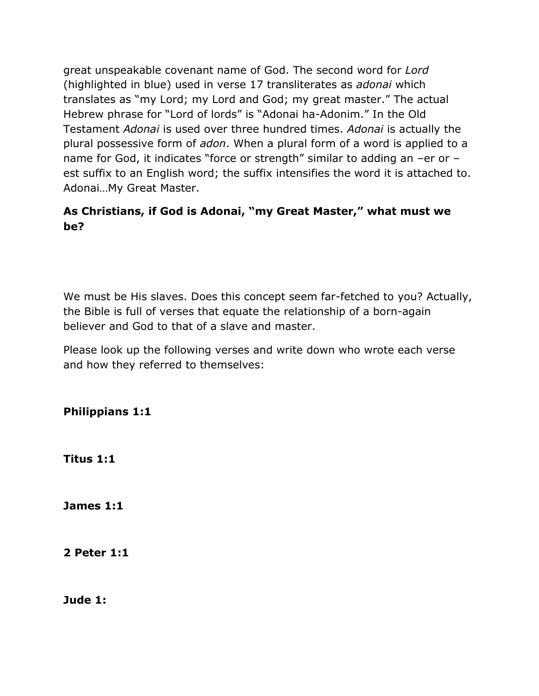great unspeakable covenant name of God. The second word for *Lord* (highlighted in blue) used in verse 17 transliterates as *adonai* which translates as "my Lord; my Lord and God; my great master." The actual Hebrew phrase for "Lord of lords" is "Adonai ha-Adonim." In the Old Testament *Adonai* is used over three hundred times. *Adonai* is actually the plural possessive form of *adon*. When a plural form of a word is applied to a name for God, it indicates "force or strength" similar to adding an –er or – est suffix to an English word; the suffix intensifies the word it is attached to. Adonai…My Great Master.

## **As Christians, if God is Adonai, "my Great Master," what must we be?**

We must be His slaves. Does this concept seem far-fetched to you? Actually, the Bible is full of verses that equate the relationship of a born-again believer and God to that of a slave and master.

Please look up the following verses and write down who wrote each verse and how they referred to themselves:

**Philippians 1:1**

**Titus 1:1**

**James 1:1**

**2 Peter 1:1**

**Jude 1:**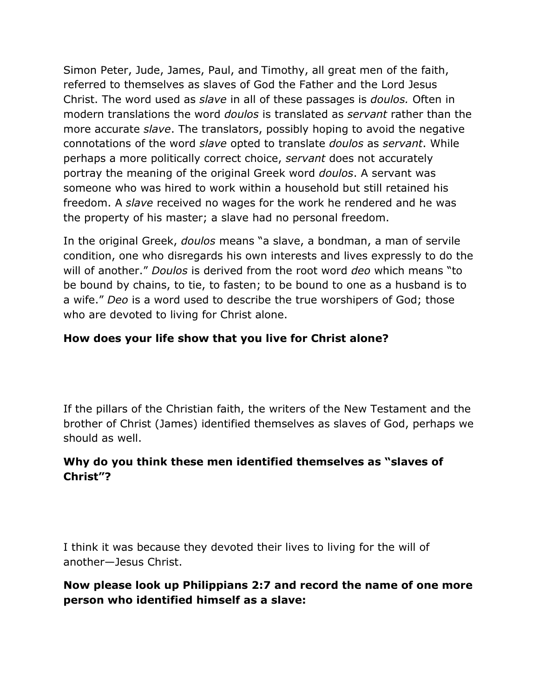Simon Peter, Jude, James, Paul, and Timothy, all great men of the faith, referred to themselves as slaves of God the Father and the Lord Jesus Christ. The word used as *slave* in all of these passages is *doulos.* Often in modern translations the word *doulos* is translated as *servant* rather than the more accurate *slave*. The translators, possibly hoping to avoid the negative connotations of the word *slave* opted to translate *doulos* as *servant*. While perhaps a more politically correct choice, *servant* does not accurately portray the meaning of the original Greek word *doulos*. A servant was someone who was hired to work within a household but still retained his freedom. A *slave* received no wages for the work he rendered and he was the property of his master; a slave had no personal freedom.

In the original Greek, *doulos* means "a slave, a bondman, a man of servile condition, one who disregards his own interests and lives expressly to do the will of another." *Doulos* is derived from the root word *deo* which means "to be bound by chains, to tie, to fasten; to be bound to one as a husband is to a wife." *Deo* is a word used to describe the true worshipers of God; those who are devoted to living for Christ alone.

## **How does your life show that you live for Christ alone?**

If the pillars of the Christian faith, the writers of the New Testament and the brother of Christ (James) identified themselves as slaves of God, perhaps we should as well.

## **Why do you think these men identified themselves as "slaves of Christ"?**

I think it was because they devoted their lives to living for the will of another—Jesus Christ.

#### **Now please look up Philippians 2:7 and record the name of one more person who identified himself as a slave:**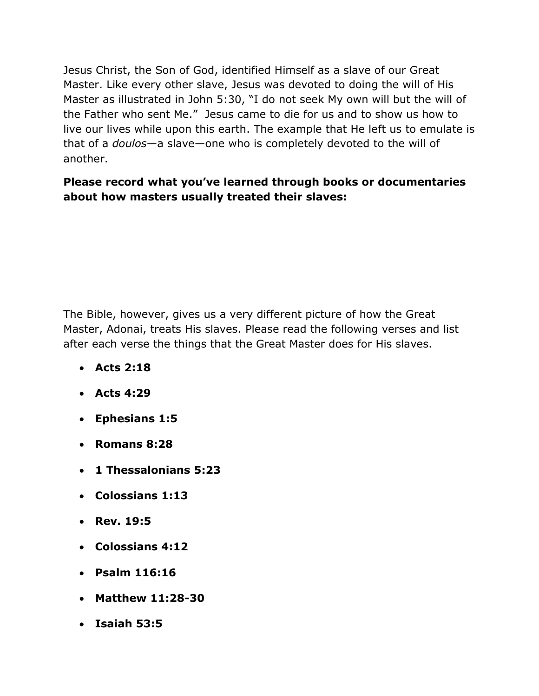Jesus Christ, the Son of God, identified Himself as a slave of our Great Master. Like every other slave, Jesus was devoted to doing the will of His Master as illustrated in John 5:30, "I do not seek My own will but the will of the Father who sent Me." Jesus came to die for us and to show us how to live our lives while upon this earth. The example that He left us to emulate is that of a *doulos*—a slave—one who is completely devoted to the will of another.

# **Please record what you've learned through books or documentaries about how masters usually treated their slaves:**

The Bible, however, gives us a very different picture of how the Great Master, Adonai, treats His slaves. Please read the following verses and list after each verse the things that the Great Master does for His slaves.

- **Acts 2:18**
- **Acts 4:29**
- **Ephesians 1:5**
- **Romans 8:28**
- **1 Thessalonians 5:23**
- **Colossians 1:13**
- **Rev. 19:5**
- **Colossians 4:12**
- **Psalm 116:16**
- **Matthew 11:28-30**
- **Isaiah 53:5**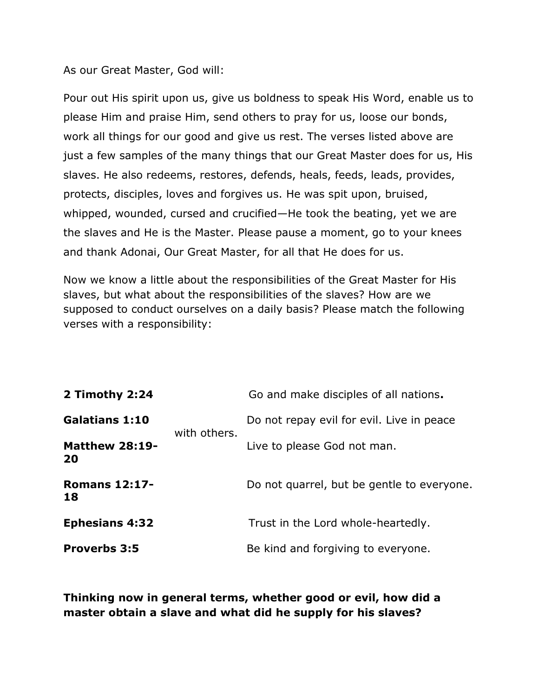As our Great Master, God will:

Pour out His spirit upon us, give us boldness to speak His Word, enable us to please Him and praise Him, send others to pray for us, loose our bonds, work all things for our good and give us rest. The verses listed above are just a few samples of the many things that our Great Master does for us, His slaves. He also redeems, restores, defends, heals, feeds, leads, provides, protects, disciples, loves and forgives us. He was spit upon, bruised, whipped, wounded, cursed and crucified—He took the beating, yet we are the slaves and He is the Master. Please pause a moment, go to your knees and thank Adonai, Our Great Master, for all that He does for us.

Now we know a little about the responsibilities of the Great Master for His slaves, but what about the responsibilities of the slaves? How are we supposed to conduct ourselves on a daily basis? Please match the following verses with a responsibility:

| 2 Timothy 2:24              | with others. | Go and make disciples of all nations.      |
|-----------------------------|--------------|--------------------------------------------|
| <b>Galatians 1:10</b>       |              | Do not repay evil for evil. Live in peace  |
| <b>Matthew 28:19-</b><br>20 |              | Live to please God not man.                |
| <b>Romans 12:17-</b><br>18  |              | Do not quarrel, but be gentle to everyone. |
| <b>Ephesians 4:32</b>       |              | Trust in the Lord whole-heartedly.         |
| <b>Proverbs 3:5</b>         |              | Be kind and forgiving to everyone.         |

**Thinking now in general terms, whether good or evil, how did a master obtain a slave and what did he supply for his slaves?**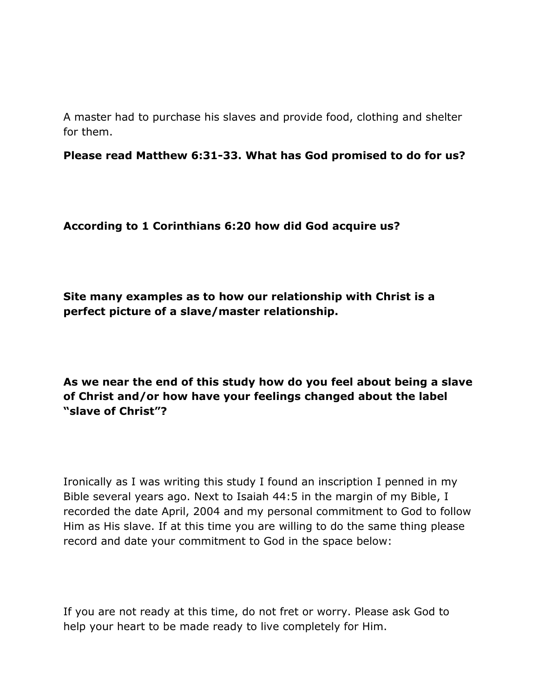A master had to purchase his slaves and provide food, clothing and shelter for them.

**Please read Matthew 6:31-33. What has God promised to do for us?**

**According to 1 Corinthians 6:20 how did God acquire us?**

**Site many examples as to how our relationship with Christ is a perfect picture of a slave/master relationship.**

**As we near the end of this study how do you feel about being a slave of Christ and/or how have your feelings changed about the label "slave of Christ"?**

Ironically as I was writing this study I found an inscription I penned in my Bible several years ago. Next to Isaiah 44:5 in the margin of my Bible, I recorded the date April, 2004 and my personal commitment to God to follow Him as His slave. If at this time you are willing to do the same thing please record and date your commitment to God in the space below:

If you are not ready at this time, do not fret or worry. Please ask God to help your heart to be made ready to live completely for Him.